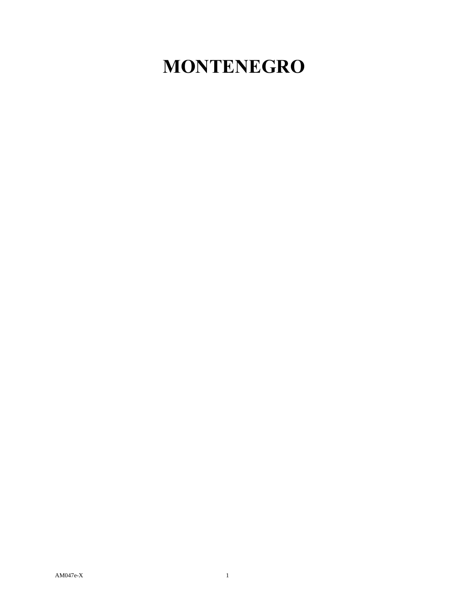## **MONTENEGRO**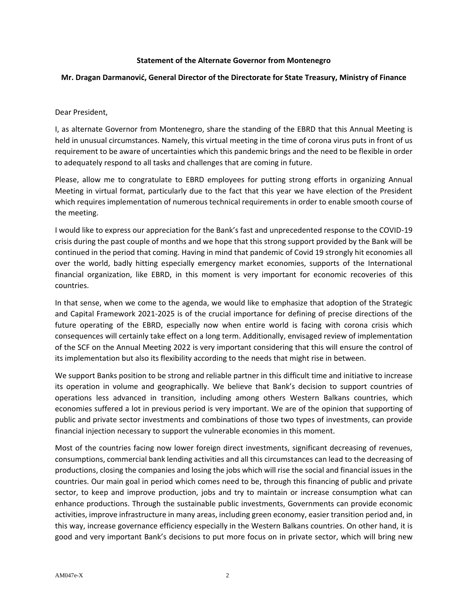## **Statement of the Alternate Governor from Montenegro**

## **Mr. Dragan Darmanović, General Director of the Directorate for State Treasury, Ministry of Finance**

## Dear President,

I, as alternate Governor from Montenegro, share the standing of the EBRD that this Annual Meeting is held in unusual circumstances. Namely, this virtual meeting in the time of corona virus puts in front of us requirement to be aware of uncertainties which this pandemic brings and the need to be flexible in order to adequately respond to all tasks and challenges that are coming in future.

Please, allow me to congratulate to EBRD employees for putting strong efforts in organizing Annual Meeting in virtual format, particularly due to the fact that this year we have election of the President which requires implementation of numerous technical requirements in order to enable smooth course of the meeting.

I would like to express our appreciation for the Bank's fast and unprecedented response to the COVID-19 crisis during the past couple of months and we hope that this strong support provided by the Bank will be continued in the period that coming. Having in mind that pandemic of Covid 19 strongly hit economies all over the world, badly hitting especially emergency market economies, supports of the International financial organization, like EBRD, in this moment is very important for economic recoveries of this countries.

In that sense, when we come to the agenda, we would like to emphasize that adoption of the Strategic and Capital Framework 2021-2025 is of the crucial importance for defining of precise directions of the future operating of the EBRD, especially now when entire world is facing with corona crisis which consequences will certainly take effect on a long term. Additionally, envisaged review of implementation of the SCF on the Annual Meeting 2022 is very important considering that this will ensure the control of its implementation but also its flexibility according to the needs that might rise in between.

We support Banks position to be strong and reliable partner in this difficult time and initiative to increase its operation in volume and geographically. We believe that Bank's decision to support countries of operations less advanced in transition, including among others Western Balkans countries, which economies suffered a lot in previous period is very important. We are of the opinion that supporting of public and private sector investments and combinations of those two types of investments, can provide financial injection necessary to support the vulnerable economies in this moment.

Most of the countries facing now lower foreign direct investments, significant decreasing of revenues, consumptions, commercial bank lending activities and all this circumstances can lead to the decreasing of productions, closing the companies and losing the jobs which will rise the social and financial issues in the countries. Our main goal in period which comes need to be, through this financing of public and private sector, to keep and improve production, jobs and try to maintain or increase consumption what can enhance productions. Through the sustainable public investments, Governments can provide economic activities, improve infrastructure in many areas, including green economy, easier transition period and, in this way, increase governance efficiency especially in the Western Balkans countries. On other hand, it is good and very important Bank's decisions to put more focus on in private sector, which will bring new